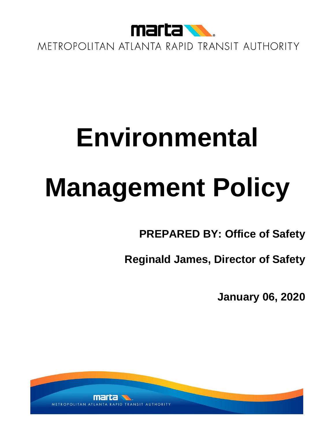

METROPOLITAN ATLANTA RAPID TRANSIT AUTHORITY

## **Environmental Management Policy**

**PREPARED BY: Office of Safety**

**Reginald James, Director of Safety** 

**January 06, 2020**

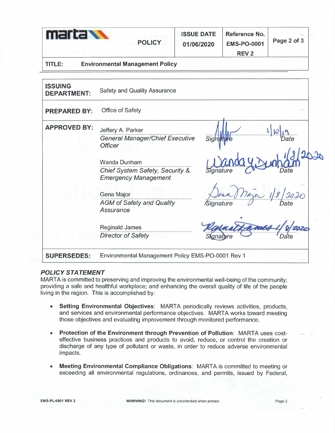| marta<br><b>POLICY</b>               |                                                                                                                                                                                                                          | <b>ISSUE DATE</b><br>01/06/2020 | Reference No.<br><b>EMS-PO-0001</b><br><b>REV2</b> | Page 2 of 3 |  |  |
|--------------------------------------|--------------------------------------------------------------------------------------------------------------------------------------------------------------------------------------------------------------------------|---------------------------------|----------------------------------------------------|-------------|--|--|
| <b>TITLE:</b>                        | <b>Environmental Management Policy</b>                                                                                                                                                                                   |                                 |                                                    |             |  |  |
| <b>ISSUING</b><br><b>DEPARTMENT:</b> | <b>Safety and Quality Assurance</b>                                                                                                                                                                                      |                                 |                                                    |             |  |  |
| <b>PREPARED BY:</b>                  | Office of Safety                                                                                                                                                                                                         |                                 |                                                    |             |  |  |
| <b>APPROVED BY:</b>                  | Jeffery A. Parker<br><b>General Manager/Chief Executive</b><br><b>Officer</b><br><b>Wanda Dunham</b><br>Chief System Safety, Security &<br><b>Emergency Management</b><br>Gena Major<br><b>AGM of Safety and Quality</b> | Sigh<br>Signature               |                                                    |             |  |  |
|                                      | Assurance<br><b>Reginald James</b><br><b>Director of Safety</b>                                                                                                                                                          | Siana                           |                                                    |             |  |  |
| <b>SUPERSEDES:</b>                   | Environmental Management Policy EMS-PO-0001 Rev 1                                                                                                                                                                        |                                 |                                                    |             |  |  |

## *POLICY STATEMENT*

MARTA is committed to preserving and improving the environmental well-being of the community; providing a safe and healthful workplace; and enhancing the overall quality of life of the people living in the region. This is accomplished by:

- **Setting Environmental Objectives:** MARTA periodically reviews activities, products, and services and environmental performance objectives. MARTA works toward meeting those objectives and evaluating improvement through monitored performance.
- **Protection of the Environment through Prevention of Pollution:** MARTA uses costeffective business practices and products to avoid, reduce, or control the creation or discharge of any type of pollutant or waste, in order to reduce adverse environmental impacts.
- **Meeting Environmental Compliance Obligations:** MARTA is committed to meeting or exceeding all environmental regulations, ordinances, and permits, issued by Federal,